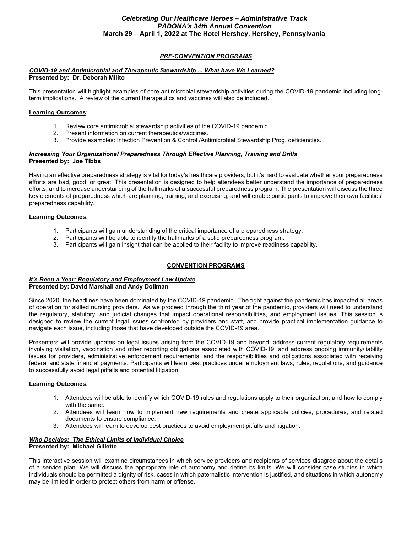### *PRE-CONVENTION PROGRAMS*

### *COVID-19 and Antimicrobial and Therapeutic Stewardship ... What have We Learned?* **Presented by: Dr. Deborah Milito**

This presentation will highlight examples of core antimicrobial stewardship activities during the COVID-19 pandemic including longterm implications. A review of the current therapeutics and vaccines will also be included.

### **Learning Outcomes**:

- 1. Review core antimicrobial stewardship activities of the COVID-19 pandemic.
- 2. Present information on current therapeutics/vaccines.
- 3. Provide examples: Infection Prevention & Control /Antimicrobial Stewardship Prog. deficiencies.

### *Increasing Your Organizational Preparedness Through Effective Planning, Training and Drills* **Presented by: Joe Tibbs**

Having an effective preparedness strategy is vital for today's healthcare providers, but it's hard to evaluate whether your preparedness efforts are bad, good, or great. This presentation is designed to help attendees better understand the importance of preparedness efforts, and to increase understanding of the hallmarks of a successful preparedness program. The presentation will discuss the three key elements of preparedness which are planning, training, and exercising, and will enable participants to improve their own facilities' preparedness capability.

### **Learning Outcomes**:

- 1. Participants will gain understanding of the critical importance of a preparedness strategy.<br>2. Participants will be able to identify the hallmarks of a solid preparedness program.
- Participants will be able to identify the hallmarks of a solid preparedness program.
- 3. Participants will gain insight that can be applied to their facility to improve readiness capability.

## **CONVENTION PROGRAMS**

#### *It's Been a Year: Regulatory and Employment Law Update*  **Presented by: David Marshall and Andy Dollman**

Since 2020, the headlines have been dominated by the COVID-19 pandemic. The fight against the pandemic has impacted all areas of operation for skilled nursing providers. As we proceed through the third year of the pandemic, providers will need to understand the regulatory, statutory, and judicial changes that impact operational responsibilities, and employment issues. This session is designed to review the current legal issues confronted by providers and staff, and provide practical implementation guidance to navigate each issue, including those that have developed outside the COVID-19 area.

Presenters will provide updates on legal issues arising from the COVID-19 and beyond; address current regulatory requirements involving visitation, vaccination and other reporting obligations associated with COVID-19; and address ongoing immunity/liability issues for providers, administrative enforcement requirements, and the responsibilities and obligations associated with receiving federal and state financial payments. Participants will learn best practices under employment laws, rules, regulations, and guidance to successfully avoid legal pitfalls and potential litigation.

### **Learning Outcomes**:

- 1. Attendees will be able to identify which COVID-19 rules and regulations apply to their organization, and how to comply with the same.
- 2. Attendees will learn how to implement new requirements and create applicable policies, procedures, and related documents to ensure compliance.
- 3. Attendees will learn to develop best practices to avoid employment pitfalls and litigation.

# *Who Decides: The Ethical Limits of Individual Choice*

### **Presented by: Michael Gillette**

This interactive session will examine circumstances in which service providers and recipients of services disagree about the details of a service plan. We will discuss the appropriate role of autonomy and define its limits. We will consider case studies in which individuals should be permitted a dignity of risk, cases in which paternalistic intervention is justified, and situations in which autonomy may be limited in order to protect others from harm or offense.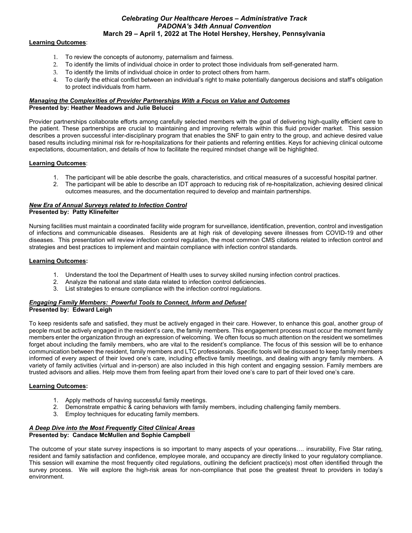### **Learning Outcomes**:

- 1. To review the concepts of autonomy, paternalism and fairness.
- 2. To identify the limits of individual choice in order to protect those individuals from self-generated harm.
- 3. To identify the limits of individual choice in order to protect others from harm.
- 4. To clarify the ethical conflict between an individual's right to make potentially dangerous decisions and staff's obligation to protect individuals from harm.

### *Managing the Complexities of Provider Partnerships With a Focus on Value and Outcomes* **Presented by: Heather Meadows and Julie Belucci**

Provider partnerships collaborate efforts among carefully selected members with the goal of delivering high-quality efficient care to the patient. These partnerships are crucial to maintaining and improving referrals within this fluid provider market. This session describes a proven successful inter-disciplinary program that enables the SNF to gain entry to the group, and achieve desired value based results including minimal risk for re-hospitalizations for their patients and referring entities. Keys for achieving clinical outcome expectations, documentation, and details of how to facilitate the required mindset change will be highlighted.

### **Learning Outcomes**:

- 1. The participant will be able describe the goals, characteristics, and critical measures of a successful hospital partner.
- 2. The participant will be able to describe an IDT approach to reducing risk of re-hospitalization, achieving desired clinical outcomes measures, and the documentation required to develop and maintain partnerships.

### *New Era of Annual Surveys related to Infection Control*  **Presented by: Patty Klinefelter**

Nursing facilities must maintain a coordinated facility wide program for surveillance, identification, prevention, control and investigation of infections and communicable diseases. Residents are at high risk of developing severe illnesses from COVID-19 and other diseases. This presentation will review infection control regulation, the most common CMS citations related to infection control and strategies and best practices to implement and maintain compliance with infection control standards.

### **Learning Outcomes:**

- 1. Understand the tool the Department of Health uses to survey skilled nursing infection control practices.
- 2. Analyze the national and state data related to infection control deficiencies.
- 3. List strategies to ensure compliance with the infection control regulations.

#### *Engaging Family Members: Powerful Tools to Connect, Inform and Defuse!* **Presented by: Edward Leigh**

To keep residents safe and satisfied, they must be actively engaged in their care. However, to enhance this goal, another group of people must be actively engaged in the resident's care, the family members. This engagement process must occur the moment family members enter the organization through an expression of welcoming. We often focus so much attention on the resident we sometimes forget about including the family members, who are vital to the resident's compliance. The focus of this session will be to enhance communication between the resident, family members and LTC professionals. Specific tools will be discussed to keep family members informed of every aspect of their loved one's care, including effective family meetings, and dealing with angry family members. A variety of family activities (virtual and in-person) are also included in this high content and engaging session. Family members are trusted advisors and allies. Help move them from feeling apart from their loved one's care to part of their loved one's care.

### **Learning Outcomes:**

- 1. Apply methods of having successful family meetings.
- 2. Demonstrate empathic & caring behaviors with family members, including challenging family members.
- 3. Employ techniques for educating family members.

### *A Deep Dive into the Most Frequently Cited Clinical Areas*  **Presented by: Candace McMullen and Sophie Campbell**

The outcome of your state survey inspections is so important to many aspects of your operations…. insurability, Five Star rating, resident and family satisfaction and confidence, employee morale, and occupancy are directly linked to your regulatory compliance. This session will examine the most frequently cited regulations, outlining the deficient practice(s) most often identified through the survey process. We will explore the high-risk areas for non-compliance that pose the greatest threat to providers in today's environment.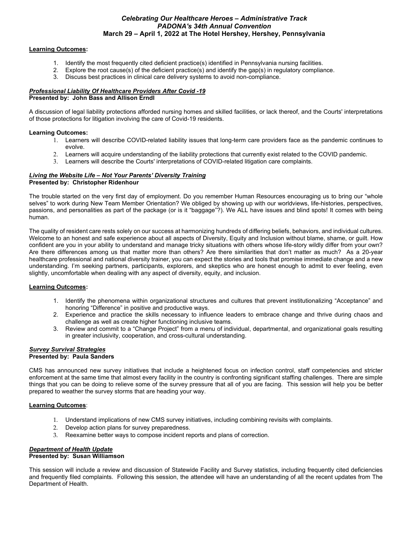### **Learning Outcomes:**

- 1. Identify the most frequently cited deficient practice(s) identified in Pennsylvania nursing facilities.<br>2. Explore the root cause(s) of the deficient practice(s) and identify the gap(s) in regulatory compliar
- 2. Explore the root cause(s) of the deficient practice(s) and identify the gap(s) in regulatory compliance.
- 3. Discuss best practices in clinical care delivery systems to avoid non-compliance.

#### *Professional Liability Of Healthcare Providers After Covid -19* **Presented by: John Bass and Allison Erndl**

A discussion of legal liability protections afforded nursing homes and skilled facilities, or lack thereof, and the Courts' interpretations of those protections for litigation involving the care of Covid-19 residents.

### **Learning Outcomes:**

- 1. Learners will describe COVID-related liability issues that long-term care providers face as the pandemic continues to evolve.
- 2. Learners will acquire understanding of the liability protections that currently exist related to the COVID pandemic.
- 3. Learners will describe the Courts' interpretations of COVID-related litigation care complaints.

# *Living the Website Life – Not Your Parents' Diversity Training*

### **Presented by: Christopher Ridenhour**

The trouble started on the very first day of employment. Do you remember Human Resources encouraging us to bring our "whole selves" to work during New Team Member Orientation? We obliged by showing up with our worldviews, life-histories, perspectives, passions, and personalities as part of the package (or is it "baggage"?). We ALL have issues and blind spots! It comes with being human.

The quality of resident care rests solely on our success at harmonizing hundreds of differing beliefs, behaviors, and individual cultures. Welcome to an honest and safe experience about all aspects of Diversity, Equity and Inclusion without blame, shame, or quilt. How confident are you in your ability to understand and manage tricky situations with others whose life-story wildly differ from your own? Are there differences among us that matter more than others? Are there similarities that don't matter as much? As a 20-year healthcare professional and national diversity trainer, you can expect the stories and tools that promise immediate change and a new understanding. I'm seeking partners, participants, explorers, and skeptics who are honest enough to admit to ever feeling, even slightly, uncomfortable when dealing with any aspect of diversity, equity, and inclusion.

### **Learning Outcomes:**

- 1. Identify the phenomena within organizational structures and cultures that prevent institutionalizing "Acceptance" and honoring "Difference" in positive and productive ways.
- 2. Experience and practice the skills necessary to influence leaders to embrace change and thrive during chaos and challenge as well as create higher functioning inclusive teams.
- 3. Review and commit to a "Change Project" from a menu of individual, departmental, and organizational goals resulting in greater inclusivity, cooperation, and cross-cultural understanding.

#### *Survey Survival Strategies* **Presented by: Paula Sanders**

CMS has announced new survey initiatives that include a heightened focus on infection control, staff competencies and stricter enforcement at the same time that almost every facility in the country is confronting significant staffing challenges. There are simple things that you can be doing to relieve some of the survey pressure that all of you are facing. This session will help you be better prepared to weather the survey storms that are heading your way.

### **Learning Outcomes**:

- 1. Understand implications of new CMS survey initiatives, including combining revisits with complaints.
- 2. Develop action plans for survey preparedness.
- 3. Reexamine better ways to compose incident reports and plans of correction.

### *Department of Health Update*

### **Presented by: Susan Williamson**

This session will include a review and discussion of Statewide Facility and Survey statistics, including frequently cited deficiencies and frequently filed complaints. Following this session, the attendee will have an understanding of all the recent updates from The Department of Health.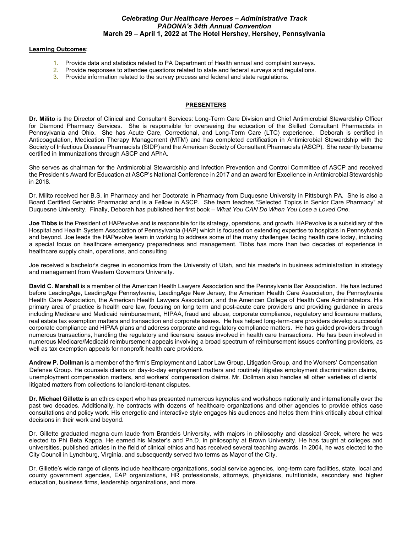#### **Learning Outcomes**:

- 1. Provide data and statistics related to PA Department of Health annual and complaint surveys.
- 2. Provide responses to attendee questions related to state and federal surveys and regulations.<br>3. Provide information related to the survey process and federal and state regulations.
- Provide information related to the survey process and federal and state regulations.

#### **PRESENTERS**

**Dr. Milito** is the Director of Clinical and Consultant Services: Long-Term Care Division and Chief Antimicrobial Stewardship Officer for Diamond Pharmacy Services. She is responsible for overseeing the education of the Skilled Consultant Pharmacists in Pennsylvania and Ohio. She has Acute Care, Correctional, and Long-Term Care (LTC) experience. Deborah is certified in Anticoagulation, Medication Therapy Management (MTM) and has completed certification in Antimicrobial Stewardship with the Society of Infectious Disease Pharmacists (SIDP) and the American Society of Consultant Pharmacists (ASCP). She recently became certified in Immunizations through ASCP and APhA.

She serves as chairman for the Antimicrobial Stewardship and Infection Prevention and Control Committee of ASCP and received the President's Award for Education at ASCP's National Conference in 2017 and an award for Excellence in Antimicrobial Stewardship in 2018.

Dr. Milito received her B.S. in Pharmacy and her Doctorate in Pharmacy from Duquesne University in Pittsburgh PA. She is also a Board Certified Geriatric Pharmacist and is a Fellow in ASCP. She team teaches "Selected Topics in Senior Care Pharmacy" at Duquesne University. Finally, Deborah has published her first book – *What You CAN Do When You Lose a Loved One*.

**Joe Tibbs** is the President of HAPevolve and is responsible for its strategy, operations, and growth. HAPevolve is a subsidiary of the Hospital and Health System Association of Pennsylvania (HAP) which is focused on extending expertise to hospitals in Pennsylvania and beyond. Joe leads the HAPevolve team in working to address some of the many challenges facing health care today, including a special focus on healthcare emergency preparedness and management. Tibbs has more than two decades of experience in healthcare supply chain, operations, and consulting

Joe received a bachelor's degree in economics from the University of Utah, and his master's in business administration in strategy and management from Western Governors University.

**David C. Marshall** is a member of the American Health Lawyers Association and the Pennsylvania Bar Association. He has lectured before LeadingAge, LeadingAge Pennsylvania, LeadingAge New Jersey, the American Health Care Association, the Pennsylvania Health Care Association, the American Health Lawyers Association, and the American College of Health Care Administrators. His primary area of practice is health care law, focusing on long term and post-acute care providers and providing guidance in areas including Medicare and Medicaid reimbursement, HIPAA, fraud and abuse, corporate compliance, regulatory and licensure matters, real estate tax exemption matters and transaction and corporate issues. He has helped long-term-care providers develop successful corporate compliance and HIPAA plans and address corporate and regulatory compliance matters. He has guided providers through numerous transactions, handling the regulatory and licensure issues involved in health care transactions. He has been involved in numerous Medicare/Medicaid reimbursement appeals involving a broad spectrum of reimbursement issues confronting providers, as well as tax exemption appeals for nonprofit health care providers.

**Andrew P. Dollman** is a member of the firm's Employment and Labor Law Group, Litigation Group, and the Workers' Compensation Defense Group. He counsels clients on day-to-day employment matters and routinely litigates employment discrimination claims, unemployment compensation matters, and workers' compensation claims. Mr. Dollman also handles all other varieties of clients' litigated matters from collections to landlord-tenant disputes.

**Dr. Michael Gillette** is an ethics expert who has presented numerous keynotes and workshops nationally and internationally over the past two decades. Additionally, he contracts with dozens of healthcare organizations and other agencies to provide ethics case consultations and policy work. His energetic and interactive style engages his audiences and helps them think critically about ethical decisions in their work and beyond.

Dr. Gillette graduated magna cum laude from Brandeis University, with majors in philosophy and classical Greek, where he was elected to Phi Beta Kappa. He earned his Master's and Ph.D. in philosophy at Brown University. He has taught at colleges and universities, published articles in the field of clinical ethics and has received several teaching awards. In 2004, he was elected to the City Council in Lynchburg, Virginia, and subsequently served two terms as Mayor of the City.

Dr. Gillette's wide range of clients include healthcare organizations, social service agencies, long-term care facilities, state, local and county government agencies, EAP organizations, HR professionals, attorneys, physicians, nutritionists, secondary and higher education, business firms, leadership organizations, and more.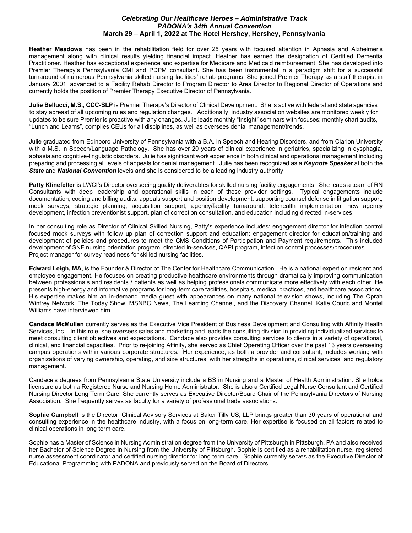**Heather Meadows** has been in the rehabilitation field for over 25 years with focused attention in Aphasia and Alzheimer's management along with clinical results yielding financial impact. Heather has earned the designation of Certified Dementia Practitioner. Heather has exceptional experience and expertise for Medicare and Medicaid reimbursement. She has developed into Premier Therapy's Pennsylvania CMI and PDPM consultant. She has been instrumental in a paradigm shift for a successful turnaround of numerous Pennsylvania skilled nursing facilities' rehab programs. She joined Premier Therapy as a staff therapist in January 2001, advanced to a Facility Rehab Director to Program Director to Area Director to Regional Director of Operations and currently holds the position of Premier Therapy Executive Director of Pennsylvania.

**Julie Bellucci, M.S., CCC-SLP** is Premier Therapy's Director of Clinical Development. She is active with federal and state agencies to stay abreast of all upcoming rules and regulation changes. Additionally, industry association websites are monitored weekly for updates to be sure Premier is proactive with any changes. Julie leads monthly "Insight" seminars with focuses; monthly chart audits, "Lunch and Learns", compiles CEUs for all disciplines, as well as oversees denial management/trends.

Julie graduated from Edinboro University of Pennsylvania with a B.A. in Speech and Hearing Disorders, and from Clarion University with a M.S. in Speech/Language Pathology. She has over 20 years of clinical experience in geriatrics, specializing in dysphagia, aphasia and cognitive-linguistic disorders. Julie has significant work experience in both clinical and operational management including preparing and processing all levels of appeals for denial management. Julie has been recognized as a *Keynote Speaker* at both the *State* and *National Convention* levels and she is considered to be a leading industry authority.

**Patty Klinefelter** is LWCI's Director overseeing quality deliverables for skilled nursing facility engagements. She leads a team of RN Consultants with deep leadership and operational skills in each of these provider settings. Typical engagements include documentation, coding and billing audits, appeals support and position development; supporting counsel defense in litigation support; mock surveys, strategic planning, acquisition support, agency/facility turnaround, telehealth implementation, new agency development, infection preventionist support, plan of correction consultation, and education including directed in-services.

In her consulting role as Director of Clinical Skilled Nursing, Patty's experience includes: engagement director for infection control focused mock surveys with follow up plan of correction support and education; engagement director for education/training and development of policies and procedures to meet the CMS Conditions of Participation and Payment requirements. This included development of SNF nursing orientation program, directed in-services, QAPI program, infection control processes/procedures. Project manager for survey readiness for skilled nursing facilities.

**Edward Leigh, MA**, is the Founder & Director of The Center for Healthcare Communication. He is a national expert on resident and employee engagement. He focuses on creating productive healthcare environments through dramatically improving communication between professionals and residents / patients as well as helping professionals communicate more effectively with each other. He presents high-energy and informative programs for long-term care facilities, hospitals, medical practices, and healthcare associations. His expertise makes him an in-demand media guest with appearances on many national television shows, including The Oprah Winfrey Network, The Today Show, MSNBC News, The Learning Channel, and the Discovery Channel. Katie Couric and Montel Williams have interviewed him.

**Candace McMullen** currently serves as the Executive Vice President of Business Development and Consulting with Affinity Health Services, Inc. In this role, she oversees sales and marketing and leads the consulting division in providing individualized services to meet consulting client objectives and expectations. Candace also provides consulting services to clients in a variety of operational, clinical, and financial capacities. Prior to re-joining Affinity, she served as Chief Operating Officer over the past 13 years overseeing campus operations within various corporate structures. Her experience, as both a provider and consultant, includes working with organizations of varying ownership, operating, and size structures; with her strengths in operations, clinical services, and regulatory management.

Candace's degrees from Pennsylvania State University include a BS in Nursing and a Master of Health Administration. She holds licensure as both a Registered Nurse and Nursing Home Administrator. She is also a Certified Legal Nurse Consultant and Certified Nursing Director Long Term Care. She currently serves as Executive Director/Board Chair of the Pennsylvania Directors of Nursing Association. She frequently serves as faculty for a variety of professional trade associations.

**Sophie Campbell** is the Director, Clinical Advisory Services at Baker Tilly US, LLP brings greater than 30 years of operational and consulting experience in the healthcare industry, with a focus on long-term care. Her expertise is focused on all factors related to clinical operations in long term care.

Sophie has a Master of Science in Nursing Administration degree from the University of Pittsburgh in Pittsburgh, PA and also received her Bachelor of Science Degree in Nursing from the University of Pittsburgh. Sophie is certified as a rehabilitation nurse, registered nurse assessment coordinator and certified nursing director for long term care. Sophie currently serves as the Executive Director of Educational Programming with PADONA and previously served on the Board of Directors.